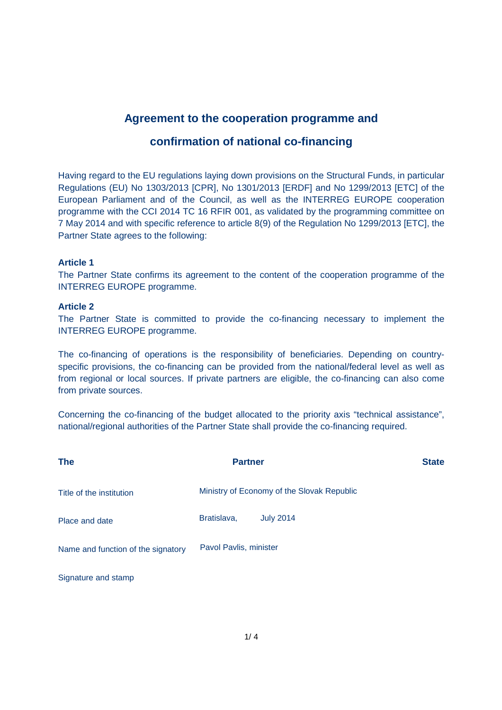# **Agreement to the cooperation programme and**

## **confirmation of national co-financing**

Having regard to the EU regulations laying down provisions on the Structural Funds, in particular Regulations (EU) No 1303/2013 [CPR], No 1301/2013 [ERDF] and No 1299/2013 [ETC] of the European Parliament and of the Council, as well as the INTERREG EUROPE cooperation programme with the CCI 2014 TC 16 RFIR 001, as validated by the programming committee on 7 May 2014 and with specific reference to article 8(9) of the Regulation No 1299/2013 [ETC], the Partner State agrees to the following:

## **Article 1**

The Partner State confirms its agreement to the content of the cooperation programme of the INTERREG EUROPE programme.

### **Article 2**

The Partner State is committed to provide the co-financing necessary to implement the INTERREG EUROPE programme.

The co-financing of operations is the responsibility of beneficiaries. Depending on countryspecific provisions, the co-financing can be provided from the national/federal level as well as from regional or local sources. If private partners are eligible, the co-financing can also come from private sources.

Concerning the co-financing of the budget allocated to the priority axis "technical assistance", national/regional authorities of the Partner State shall provide the co-financing required.

| <b>The</b>                         | <b>Partner</b>                             | <b>State</b> |
|------------------------------------|--------------------------------------------|--------------|
| Title of the institution           | Ministry of Economy of the Slovak Republic |              |
| Place and date                     | <b>July 2014</b><br>Bratislava,            |              |
| Name and function of the signatory | Pavol Pavlis, minister                     |              |
| Signature and stamp                |                                            |              |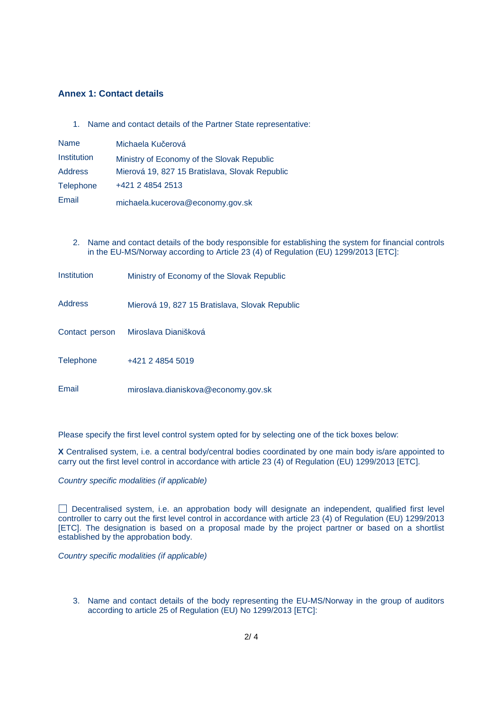#### **Annex 1: Contact details**

1. Name and contact details of the Partner State representative:

| <b>Name</b>      | Michaela Kučerová                              |
|------------------|------------------------------------------------|
| Institution      | Ministry of Economy of the Slovak Republic     |
| <b>Address</b>   | Mierová 19, 827 15 Bratislava, Slovak Republic |
| <b>Telephone</b> | +421 2 4854 2513                               |
| Email            | michaela.kucerova@economy.gov.sk               |

2. Name and contact details of the body responsible for establishing the system for financial controls in the EU-MS/Norway according to Article 23 (4) of Regulation (EU) 1299/2013 [ETC]:

| Institution      | Ministry of Economy of the Slovak Republic     |  |
|------------------|------------------------------------------------|--|
| <b>Address</b>   | Mierová 19, 827 15 Bratislava, Slovak Republic |  |
| Contact person   | Miroslava Dianišková                           |  |
| <b>Telephone</b> | +421 2 4854 5019                               |  |
| Email            | miroslava.dianiskova@economy.gov.sk            |  |

Please specify the first level control system opted for by selecting one of the tick boxes below:

**X** Centralised system, i.e. a central body/central bodies coordinated by one main body is/are appointed to carry out the first level control in accordance with article 23 (4) of Regulation (EU) 1299/2013 [ETC].

Country specific modalities (if applicable)

Decentralised system, i.e. an approbation body will designate an independent, qualified first level controller to carry out the first level control in accordance with article 23 (4) of Regulation (EU) 1299/2013 [ETC]. The designation is based on a proposal made by the project partner or based on a shortlist established by the approbation body.

Country specific modalities (if applicable)

3. Name and contact details of the body representing the EU-MS/Norway in the group of auditors according to article 25 of Regulation (EU) No 1299/2013 [ETC]: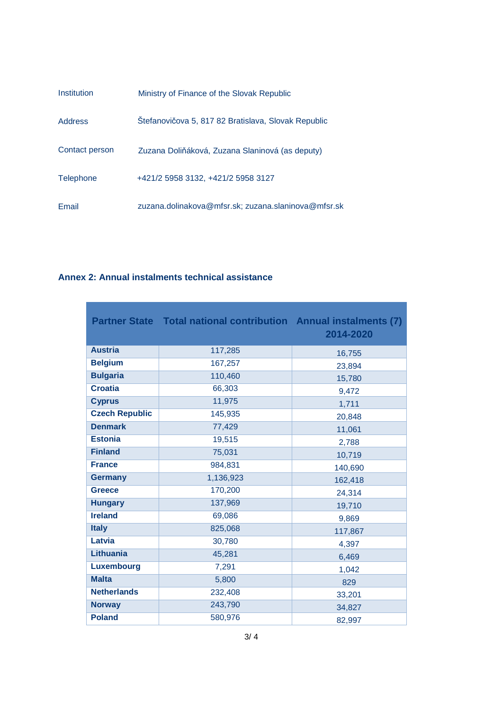| Institution      | Ministry of Finance of the Slovak Republic          |  |
|------------------|-----------------------------------------------------|--|
| <b>Address</b>   | Štefanovičova 5, 817 82 Bratislava, Slovak Republic |  |
| Contact person   | Zuzana Doliňáková, Zuzana Slaninová (as deputy)     |  |
| <b>Telephone</b> | +421/2 5958 3132, +421/2 5958 3127                  |  |
| Email            | zuzana.dolinakova@mfsr.sk; zuzana.slaninova@mfsr.sk |  |

## **Annex 2: Annual instalments technical assistance**

'n

|                       | <b>Partner State Total national contribution Annual instalments (7)</b> | 2014-2020 |
|-----------------------|-------------------------------------------------------------------------|-----------|
| <b>Austria</b>        | 117,285                                                                 | 16,755    |
| <b>Belgium</b>        | 167,257                                                                 | 23,894    |
| <b>Bulgaria</b>       | 110,460                                                                 | 15,780    |
| <b>Croatia</b>        | 66,303                                                                  | 9,472     |
| <b>Cyprus</b>         | 11,975                                                                  | 1,711     |
| <b>Czech Republic</b> | 145,935                                                                 | 20,848    |
| <b>Denmark</b>        | 77,429                                                                  | 11,061    |
| <b>Estonia</b>        | 19,515                                                                  | 2,788     |
| <b>Finland</b>        | 75,031                                                                  | 10,719    |
| <b>France</b>         | 984,831                                                                 | 140,690   |
| <b>Germany</b>        | 1,136,923                                                               | 162,418   |
| <b>Greece</b>         | 170,200                                                                 | 24,314    |
| <b>Hungary</b>        | 137,969                                                                 | 19,710    |
| <b>Ireland</b>        | 69,086                                                                  | 9,869     |
| <b>Italy</b>          | 825,068                                                                 | 117,867   |
| Latvia                | 30,780                                                                  | 4,397     |
| <b>Lithuania</b>      | 45,281                                                                  | 6,469     |
| Luxembourg            | 7,291                                                                   | 1,042     |
| <b>Malta</b>          | 5,800                                                                   | 829       |
| <b>Netherlands</b>    | 232,408                                                                 | 33,201    |
| <b>Norway</b>         | 243,790                                                                 | 34,827    |
| <b>Poland</b>         | 580,976                                                                 | 82,997    |